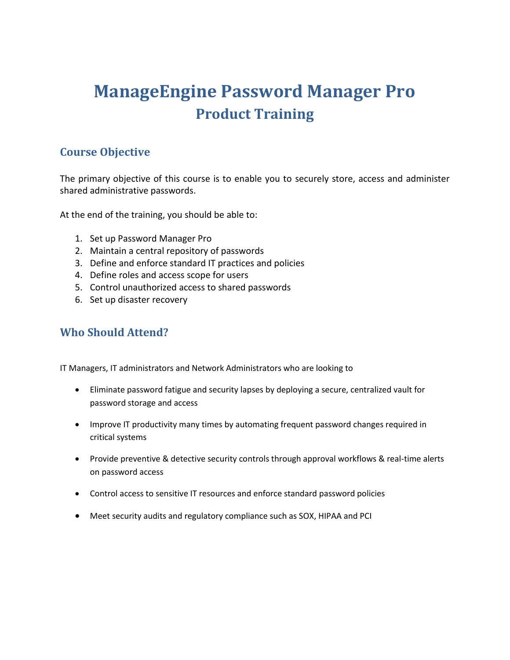# **ManageEngine Password Manager Pro Product Training**

# **Course Objective**

The primary objective of this course is to enable you to securely store, access and administer shared administrative passwords.

At the end of the training, you should be able to:

- 1. Set up Password Manager Pro
- 2. Maintain a central repository of passwords
- 3. Define and enforce standard IT practices and policies
- 4. Define roles and access scope for users
- 5. Control unauthorized access to shared passwords
- 6. Set up disaster recovery

# **Who Should Attend?**

IT Managers, IT administrators and Network Administrators who are looking to

- Eliminate password fatigue and security lapses by deploying a secure, centralized vault for password storage and access
- Improve IT productivity many times by automating frequent password changes required in critical systems
- Provide preventive & detective security controls through approval workflows & real-time alerts on password access
- Control access to sensitive IT resources and enforce standard password policies
- Meet security audits and regulatory compliance such as SOX, HIPAA and PCI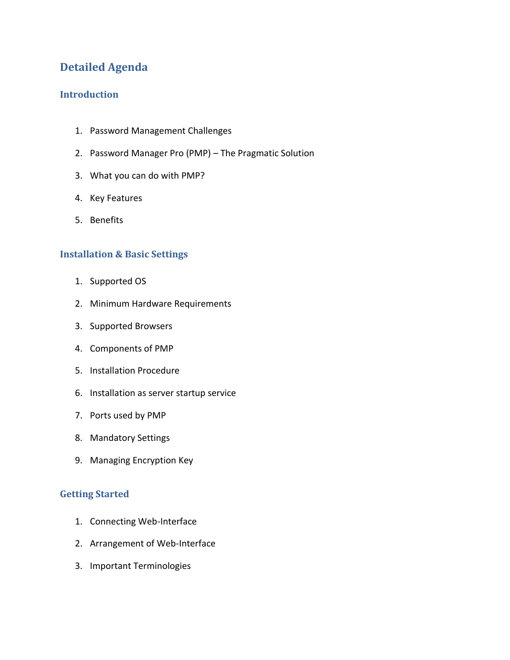# **Detailed Agenda**

## **Introduction**

- 1. Password Management Challenges
- 2. Password Manager Pro (PMP) The Pragmatic Solution
- 3. What you can do with PMP?
- 4. Key Features
- 5. Benefits

## **Installation & Basic Settings**

- 1. Supported OS
- 2. Minimum Hardware Requirements
- 3. Supported Browsers
- 4. Components of PMP
- 5. Installation Procedure
- 6. Installation as server startup service
- 7. Ports used by PMP
- 8. Mandatory Settings
- 9. Managing Encryption Key

## **Getting Started**

- 1. Connecting Web-Interface
- 2. Arrangement of Web-Interface
- 3. Important Terminologies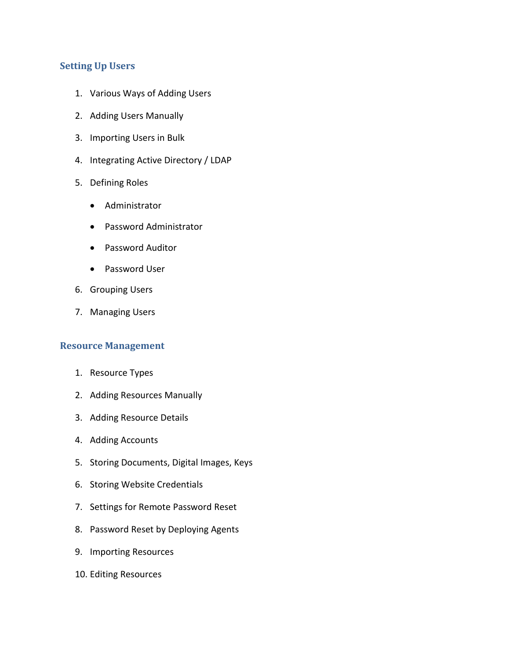## **Setting Up Users**

- 1. Various Ways of Adding Users
- 2. Adding Users Manually
- 3. Importing Users in Bulk
- 4. Integrating Active Directory / LDAP
- 5. Defining Roles
	- Administrator
	- Password Administrator
	- Password Auditor
	- Password User
- 6. Grouping Users
- 7. Managing Users

#### **Resource Management**

- 1. Resource Types
- 2. Adding Resources Manually
- 3. Adding Resource Details
- 4. Adding Accounts
- 5. Storing Documents, Digital Images, Keys
- 6. Storing Website Credentials
- 7. Settings for Remote Password Reset
- 8. Password Reset by Deploying Agents
- 9. Importing Resources
- 10. Editing Resources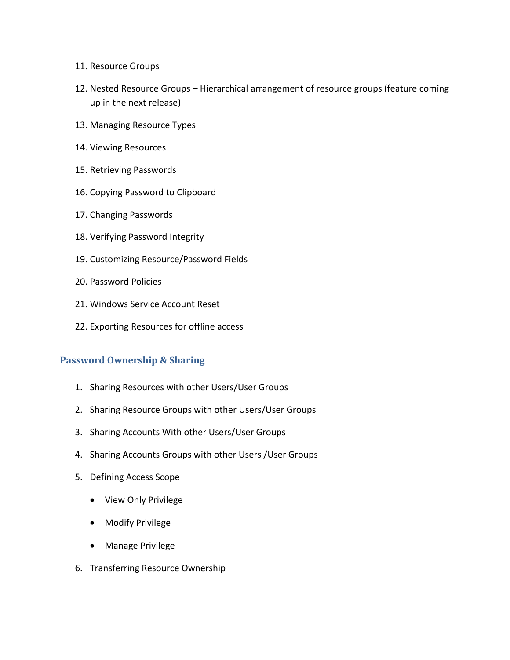- 11. Resource Groups
- 12. Nested Resource Groups Hierarchical arrangement of resource groups (feature coming up in the next release)
- 13. Managing Resource Types
- 14. Viewing Resources
- 15. Retrieving Passwords
- 16. Copying Password to Clipboard
- 17. Changing Passwords
- 18. Verifying Password Integrity
- 19. Customizing Resource/Password Fields
- 20. Password Policies
- 21. Windows Service Account Reset
- 22. Exporting Resources for offline access

#### **Password Ownership & Sharing**

- 1. Sharing Resources with other Users/User Groups
- 2. Sharing Resource Groups with other Users/User Groups
- 3. Sharing Accounts With other Users/User Groups
- 4. Sharing Accounts Groups with other Users /User Groups
- 5. Defining Access Scope
	- View Only Privilege
	- Modify Privilege
	- Manage Privilege
- 6. Transferring Resource Ownership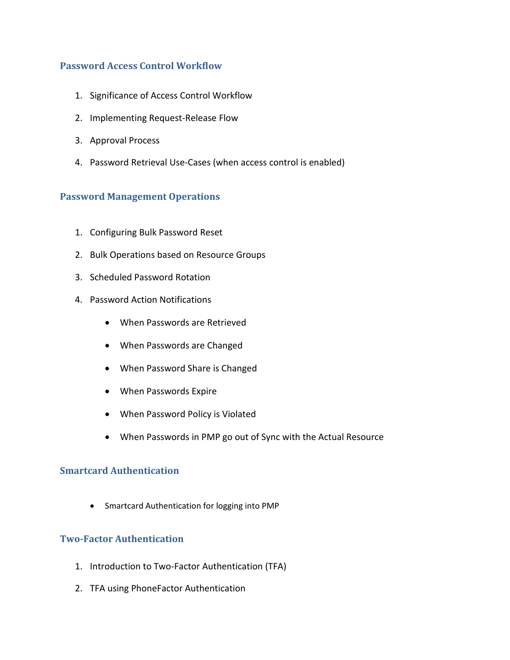## **Password Access Control Workflow**

- 1. Significance of Access Control Workflow
- 2. Implementing Request-Release Flow
- 3. Approval Process
- 4. Password Retrieval Use-Cases (when access control is enabled)

#### **Password Management Operations**

- 1. Configuring Bulk Password Reset
- 2. Bulk Operations based on Resource Groups
- 3. Scheduled Password Rotation
- 4. Password Action Notifications
	- When Passwords are Retrieved
	- When Passwords are Changed
	- When Password Share is Changed
	- When Passwords Expire
	- When Password Policy is Violated
	- When Passwords in PMP go out of Sync with the Actual Resource

#### **Smartcard Authentication**

Smartcard Authentication for logging into PMP

#### **Two-Factor Authentication**

- 1. Introduction to Two-Factor Authentication (TFA)
- 2. TFA using PhoneFactor Authentication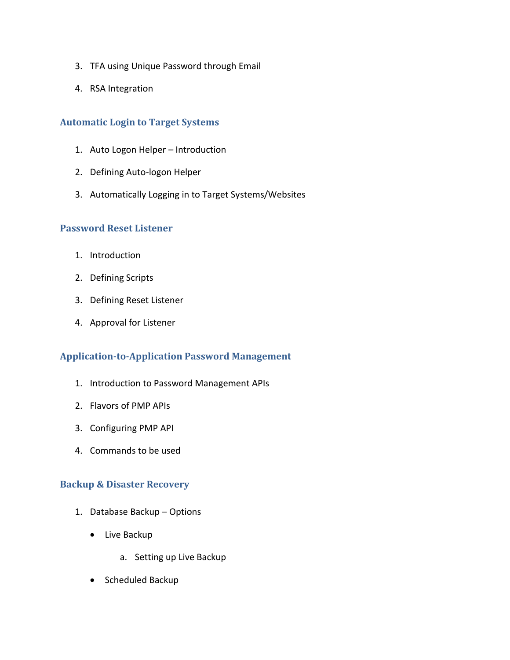- 3. TFA using Unique Password through Email
- 4. RSA Integration

#### **Automatic Login to Target Systems**

- 1. Auto Logon Helper Introduction
- 2. Defining Auto-logon Helper
- 3. Automatically Logging in to Target Systems/Websites

#### **Password Reset Listener**

- 1. Introduction
- 2. Defining Scripts
- 3. Defining Reset Listener
- 4. Approval for Listener

#### **Application-to-Application Password Management**

- 1. Introduction to Password Management APIs
- 2. Flavors of PMP APIs
- 3. Configuring PMP API
- 4. Commands to be used

#### **Backup & Disaster Recovery**

- 1. Database Backup Options
	- Live Backup
		- a. Setting up Live Backup
	- Scheduled Backup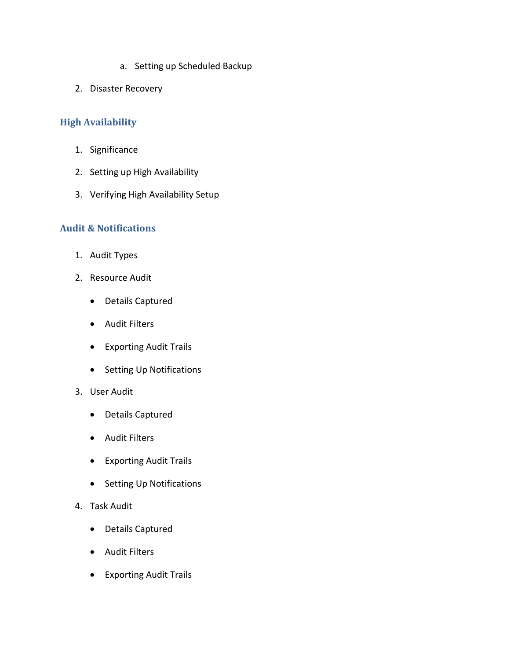- a. Setting up Scheduled Backup
- 2. Disaster Recovery

## **High Availability**

- 1. Significance
- 2. Setting up High Availability
- 3. Verifying High Availability Setup

#### **Audit & Notifications**

- 1. Audit Types
- 2. Resource Audit
	- Details Captured
	- Audit Filters
	- Exporting Audit Trails
	- Setting Up Notifications
- 3. User Audit
	- Details Captured
	- Audit Filters
	- Exporting Audit Trails
	- Setting Up Notifications
- 4. Task Audit
	- Details Captured
	- Audit Filters
	- Exporting Audit Trails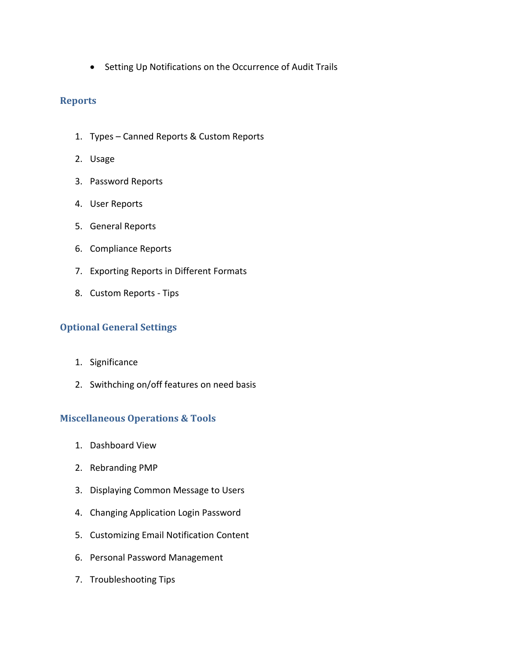• Setting Up Notifications on the Occurrence of Audit Trails

#### **Reports**

- 1. Types Canned Reports & Custom Reports
- 2. Usage
- 3. Password Reports
- 4. User Reports
- 5. General Reports
- 6. Compliance Reports
- 7. Exporting Reports in Different Formats
- 8. Custom Reports Tips

## **Optional General Settings**

- 1. Significance
- 2. Swithching on/off features on need basis

#### **Miscellaneous Operations & Tools**

- 1. Dashboard View
- 2. Rebranding PMP
- 3. Displaying Common Message to Users
- 4. Changing Application Login Password
- 5. Customizing Email Notification Content
- 6. Personal Password Management
- 7. Troubleshooting Tips